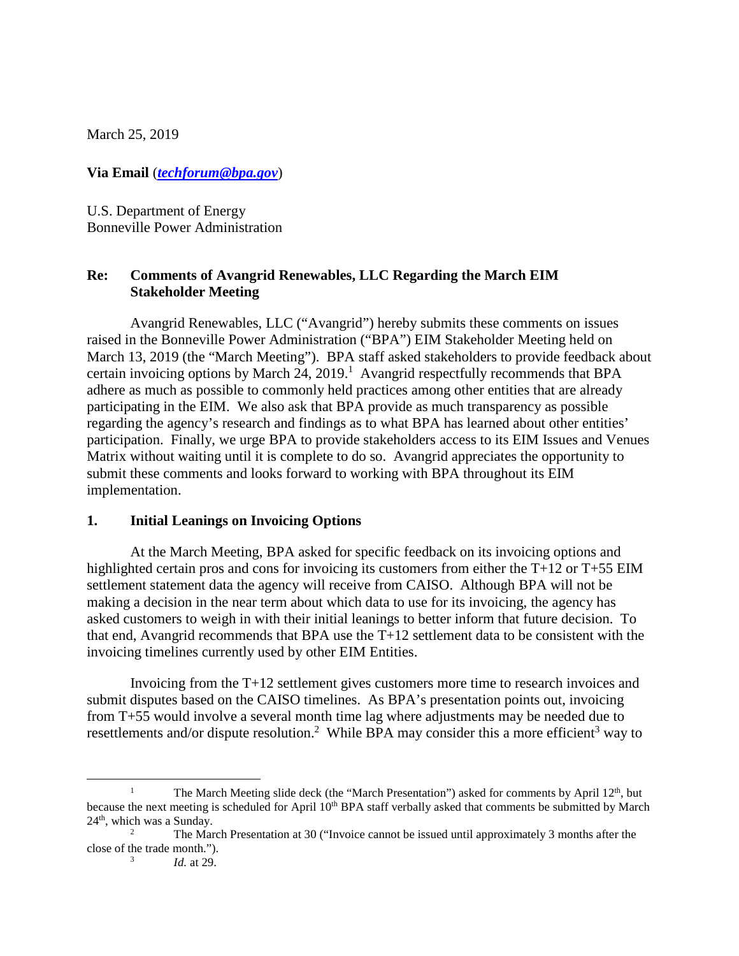March 25, 2019

**Via Email** (*techforum@bpa.gov*)

U.S. Department of Energy Bonneville Power Administration

## **Re: Comments of Avangrid Renewables, LLC Regarding the March EIM Stakeholder Meeting**

Avangrid Renewables, LLC ("Avangrid") hereby submits these comments on issues raised in the Bonneville Power Administration ("BPA") EIM Stakeholder Meeting held on March 13, 2019 (the "March Meeting"). BPA staff asked stakeholders to provide feedback about certain invoicing options by March  $24$ ,  $2019$ .<sup>1</sup> Avangrid respectfully recommends that BPA adhere as much as possible to commonly held practices among other entities that are already participating in the EIM. We also ask that BPA provide as much transparency as possible regarding the agency's research and findings as to what BPA has learned about other entities' participation. Finally, we urge BPA to provide stakeholders access to its EIM Issues and Venues Matrix without waiting until it is complete to do so. Avangrid appreciates the opportunity to submit these comments and looks forward to working with BPA throughout its EIM implementation.

## **1. Initial Leanings on Invoicing Options**

At the March Meeting, BPA asked for specific feedback on its invoicing options and highlighted certain pros and cons for invoicing its customers from either the T+12 or T+55 EIM settlement statement data the agency will receive from CAISO. Although BPA will not be making a decision in the near term about which data to use for its invoicing, the agency has asked customers to weigh in with their initial leanings to better inform that future decision. To that end, Avangrid recommends that BPA use the T+12 settlement data to be consistent with the invoicing timelines currently used by other EIM Entities.

Invoicing from the T+12 settlement gives customers more time to research invoices and submit disputes based on the CAISO timelines. As BPA's presentation points out, invoicing from T+55 would involve a several month time lag where adjustments may be needed due to resettlements and/or dispute resolution.<sup>2</sup> While BPA may consider this a more efficient<sup>3</sup> way to

3

The March Meeting slide deck (the "March Presentation") asked for comments by April  $12<sup>th</sup>$ , but because the next meeting is scheduled for April 10<sup>th</sup> BPA staff verbally asked that comments be submitted by March  $24<sup>th</sup>$ , which was a Sunday.

<sup>2</sup> The March Presentation at 30 ("Invoice cannot be issued until approximately 3 months after the close of the trade month.").

*Id.* at 29.